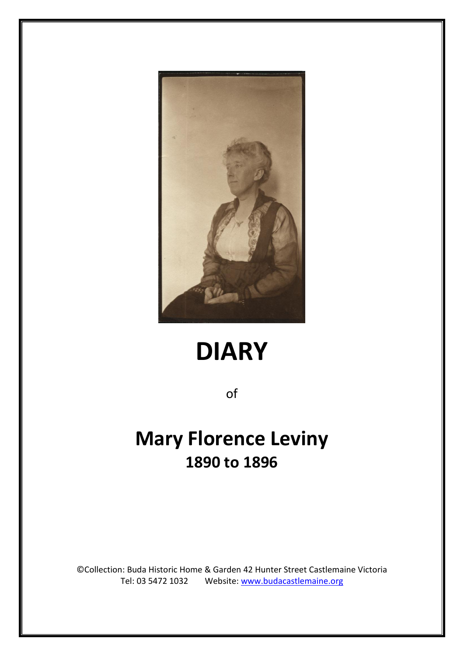

# **DIARY**

of

# **Mary Florence Leviny 1890 to 1896**

©Collection: Buda Historic Home & Garden 42 Hunter Street Castlemaine Victoria Tel: 03 5472 1032 Website: [www.budacastlemaine.org](http://www.budacastlemaine.org/)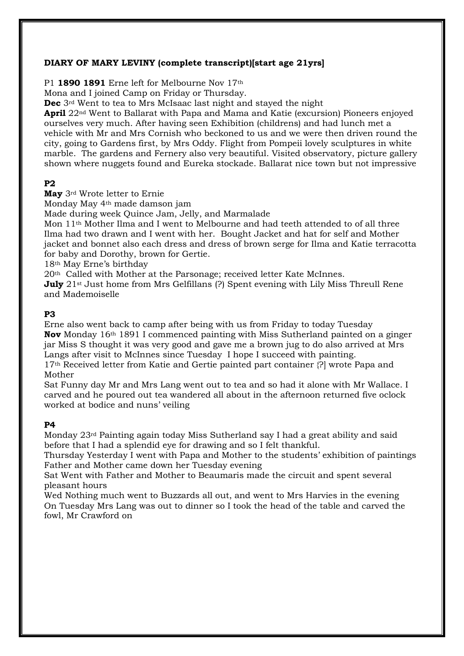# **DIARY OF MARY LEVINY (complete transcript)[start age 21yrs]**

P1 1890 1891 Erne left for Melbourne Nov 17th

Mona and I joined Camp on Friday or Thursday.

**Dec** 3rd Went to tea to Mrs McIsaac last night and stayed the night

**April** 22<sup>nd</sup> Went to Ballarat with Papa and Mama and Katie (excursion) Pioneers enjoyed ourselves very much. After having seen Exhibition (childrens) and had lunch met a vehicle with Mr and Mrs Cornish who beckoned to us and we were then driven round the city, going to Gardens first, by Mrs Oddy. Flight from Pompeii lovely sculptures in white marble. The gardens and Fernery also very beautiful. Visited observatory, picture gallery shown where nuggets found and Eureka stockade. Ballarat nice town but not impressive

# **P2**

**May** 3rd Wrote letter to Ernie

Monday May 4th made damson jam

Made during week Quince Jam, Jelly, and Marmalade

Mon 11th Mother Ilma and I went to Melbourne and had teeth attended to of all three Ilma had two drawn and I went with her. Bought Jacket and hat for self and Mother jacket and bonnet also each dress and dress of brown serge for Ilma and Katie terracotta for baby and Dorothy, brown for Gertie.

18th May Erne's birthday

20th Called with Mother at the Parsonage; received letter Kate McInnes.

**July** 21<sup>st</sup> Just home from Mrs Gelfillans (?) Spent evening with Lily Miss Threull Rene and Mademoiselle

# **P3**

Erne also went back to camp after being with us from Friday to today Tuesday **Nov** Monday 16th 1891 I commenced painting with Miss Sutherland painted on a ginger jar Miss S thought it was very good and gave me a brown jug to do also arrived at Mrs Langs after visit to McInnes since Tuesday I hope I succeed with painting.

17th Received letter from Katie and Gertie painted part container {?] wrote Papa and Mother

Sat Funny day Mr and Mrs Lang went out to tea and so had it alone with Mr Wallace. I carved and he poured out tea wandered all about in the afternoon returned five oclock worked at bodice and nuns' veiling

# **P4**

Monday 23rd Painting again today Miss Sutherland say I had a great ability and said before that I had a splendid eye for drawing and so I felt thankful.

Thursday Yesterday I went with Papa and Mother to the students' exhibition of paintings Father and Mother came down her Tuesday evening

Sat Went with Father and Mother to Beaumaris made the circuit and spent several pleasant hours

Wed Nothing much went to Buzzards all out, and went to Mrs Harvies in the evening On Tuesday Mrs Lang was out to dinner so I took the head of the table and carved the fowl, Mr Crawford on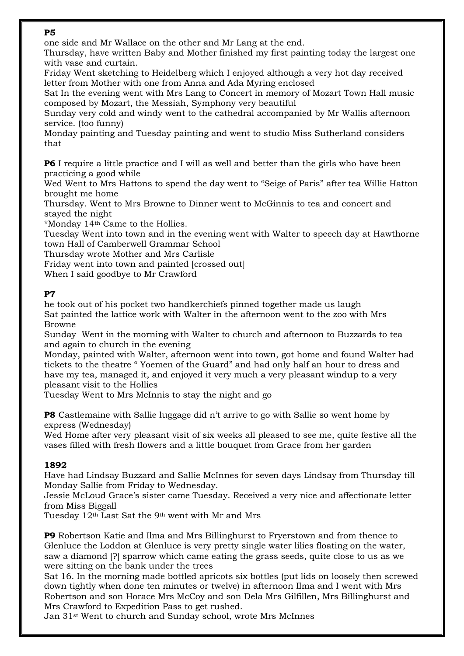one side and Mr Wallace on the other and Mr Lang at the end.

Thursday, have written Baby and Mother finished my first painting today the largest one with vase and curtain.

Friday Went sketching to Heidelberg which I enjoyed although a very hot day received letter from Mother with one from Anna and Ada Myring enclosed

Sat In the evening went with Mrs Lang to Concert in memory of Mozart Town Hall music composed by Mozart, the Messiah, Symphony very beautiful

Sunday very cold and windy went to the cathedral accompanied by Mr Wallis afternoon service. (too funny)

Monday painting and Tuesday painting and went to studio Miss Sutherland considers that

**P6** I require a little practice and I will as well and better than the girls who have been practicing a good while

Wed Went to Mrs Hattons to spend the day went to "Seige of Paris" after tea Willie Hatton brought me home

Thursday. Went to Mrs Browne to Dinner went to McGinnis to tea and concert and stayed the night

\*Monday 14th Came to the Hollies.

Tuesday Went into town and in the evening went with Walter to speech day at Hawthorne town Hall of Camberwell Grammar School

Thursday wrote Mother and Mrs Carlisle

Friday went into town and painted [crossed out]

When I said goodbye to Mr Crawford

#### **P7**

he took out of his pocket two handkerchiefs pinned together made us laugh Sat painted the lattice work with Walter in the afternoon went to the zoo with Mrs Browne

Sunday Went in the morning with Walter to church and afternoon to Buzzards to tea and again to church in the evening

Monday, painted with Walter, afternoon went into town, got home and found Walter had tickets to the theatre " Yoemen of the Guard" and had only half an hour to dress and have my tea, managed it, and enjoyed it very much a very pleasant windup to a very pleasant visit to the Hollies

Tuesday Went to Mrs McInnis to stay the night and go

**P8** Castlemaine with Sallie luggage did n't arrive to go with Sallie so went home by express (Wednesday)

Wed Home after very pleasant visit of six weeks all pleased to see me, quite festive all the vases filled with fresh flowers and a little bouquet from Grace from her garden

# **1892**

Have had Lindsay Buzzard and Sallie McInnes for seven days Lindsay from Thursday till Monday Sallie from Friday to Wednesday.

Jessie McLoud Grace's sister came Tuesday. Received a very nice and affectionate letter from Miss Biggall

Tuesday 12th Last Sat the 9th went with Mr and Mrs

**P9** Robertson Katie and Ilma and Mrs Billinghurst to Fryerstown and from thence to Glenluce the Loddon at Glenluce is very pretty single water lilies floating on the water, saw a diamond [?] sparrow which came eating the grass seeds, quite close to us as we were sitting on the bank under the trees

Sat 16. In the morning made bottled apricots six bottles (put lids on loosely then screwed down tightly when done ten minutes or twelve) in afternoon Ilma and I went with Mrs Robertson and son Horace Mrs McCoy and son Dela Mrs Gilfillen, Mrs Billinghurst and Mrs Crawford to Expedition Pass to get rushed.

Jan 31st Went to church and Sunday school, wrote Mrs McInnes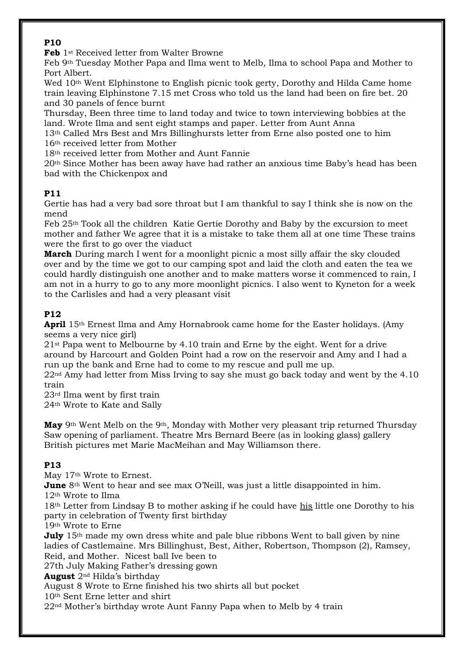**Feb** 1st Received letter from Walter Browne

Feb 9th Tuesday Mother Papa and Ilma went to Melb, Ilma to school Papa and Mother to Port Albert.

Wed 10th Went Elphinstone to English picnic took gerty, Dorothy and Hilda Came home train leaving Elphinstone 7.15 met Cross who told us the land had been on fire bet. 20 and 30 panels of fence burnt

Thursday, Been three time to land today and twice to town interviewing bobbies at the land. Wrote Ilma and sent eight stamps and paper. Letter from Aunt Anna

13th Called Mrs Best and Mrs Billinghursts letter from Erne also posted one to him 16th received letter from Mother

18th received letter from Mother and Aunt Fannie

20th Since Mother has been away have had rather an anxious time Baby's head has been bad with the Chickenpox and

# **P11**

Gertie has had a very bad sore throat but I am thankful to say I think she is now on the mend

Feb 25th Took all the children Katie Gertie Dorothy and Baby by the excursion to meet mother and father We agree that it is a mistake to take them all at one time These trains were the first to go over the viaduct

**March** During march I went for a moonlight picnic a most silly affair the sky clouded over and by the time we got to our camping spot and laid the cloth and eaten the tea we could hardly distinguish one another and to make matters worse it commenced to rain, I am not in a hurry to go to any more moonlight picnics. I also went to Kyneton for a week to the Carlisles and had a very pleasant visit

# **P12**

**April** 15th Ernest Ilma and Amy Hornabrook came home for the Easter holidays. (Amy seems a very nice girl)

21st Papa went to Melbourne by 4.10 train and Erne by the eight. Went for a drive around by Harcourt and Golden Point had a row on the reservoir and Amy and I had a run up the bank and Erne had to come to my rescue and pull me up.

22<sup>nd</sup> Amy had letter from Miss Irving to say she must go back today and went by the 4.10 train

23rd Ilma went by first train 24th Wrote to Kate and Sally

**May** 9th Went Melb on the 9th, Monday with Mother very pleasant trip returned Thursday Saw opening of parliament. Theatre Mrs Bernard Beere (as in looking glass) gallery British pictures met Marie MacMeihan and May Williamson there.

# **P13**

May 17<sup>th</sup> Wrote to Ernest.

**June** 8<sup>th</sup> Went to hear and see max O'Neill, was just a little disappointed in him.

12th Wrote to Ilma

18th Letter from Lindsay B to mother asking if he could have his little one Dorothy to his party in celebration of Twenty first birthday

19th Wrote to Erne

**July** 15<sup>th</sup> made my own dress white and pale blue ribbons Went to ball given by nine ladies of Castlemaine. Mrs Billinghust, Best, Aither, Robertson, Thompson (2), Ramsey, Reid, and Mother. Nicest ball Ive been to

27th July Making Father's dressing gown

**August** 2nd Hilda's birthday

August 8 Wrote to Erne finished his two shirts all but pocket

10th Sent Erne letter and shirt

 $22<sup>nd</sup> Mother's birthday wrote Aunt Fanny Papa when to Melb by 4 train$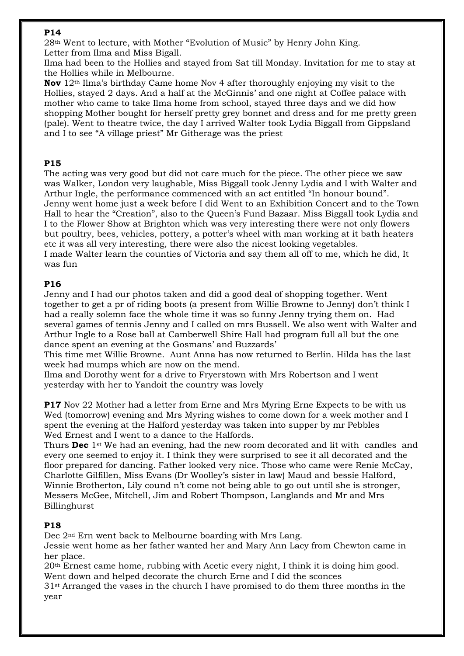28th Went to lecture, with Mother "Evolution of Music" by Henry John King. Letter from Ilma and Miss Bigall.

Ilma had been to the Hollies and stayed from Sat till Monday. Invitation for me to stay at the Hollies while in Melbourne.

**Nov** 12th Ilma's birthday Came home Nov 4 after thoroughly enjoying my visit to the Hollies, stayed 2 days. And a half at the McGinnis' and one night at Coffee palace with mother who came to take Ilma home from school, stayed three days and we did how shopping Mother bought for herself pretty grey bonnet and dress and for me pretty green (pale). Went to theatre twice, the day I arrived Walter took Lydia Biggall from Gippsland and I to see "A village priest" Mr Githerage was the priest

# **P15**

The acting was very good but did not care much for the piece. The other piece we saw was Walker, London very laughable, Miss Biggall took Jenny Lydia and I with Walter and Arthur Ingle, the performance commenced with an act entitled "In honour bound". Jenny went home just a week before I did Went to an Exhibition Concert and to the Town Hall to hear the "Creation", also to the Queen's Fund Bazaar. Miss Biggall took Lydia and I to the Flower Show at Brighton which was very interesting there were not only flowers but poultry, bees, vehicles, pottery, a potter's wheel with man working at it bath heaters etc it was all very interesting, there were also the nicest looking vegetables. I made Walter learn the counties of Victoria and say them all off to me, which he did, It was fun

# **P16**

Jenny and I had our photos taken and did a good deal of shopping together. Went together to get a pr of riding boots (a present from Willie Browne to Jenny) don't think I had a really solemn face the whole time it was so funny Jenny trying them on. Had several games of tennis Jenny and I called on mrs Bussell. We also went with Walter and Arthur Ingle to a Rose ball at Camberwell Shire Hall had program full all but the one dance spent an evening at the Gosmans' and Buzzards'

This time met Willie Browne. Aunt Anna has now returned to Berlin. Hilda has the last week had mumps which are now on the mend.

Ilma and Dorothy went for a drive to Fryerstown with Mrs Robertson and I went yesterday with her to Yandoit the country was lovely

**P17** Nov 22 Mother had a letter from Erne and Mrs Myring Erne Expects to be with us Wed (tomorrow) evening and Mrs Myring wishes to come down for a week mother and I spent the evening at the Halford yesterday was taken into supper by mr Pebbles Wed Ernest and I went to a dance to the Halfords.

Thurs **Dec** 1st We had an evening, had the new room decorated and lit with candles and every one seemed to enjoy it. I think they were surprised to see it all decorated and the floor prepared for dancing. Father looked very nice. Those who came were Renie McCay, Charlotte Gilfillen, Miss Evans (Dr Woolley's sister in law) Maud and bessie Halford, Winnie Brotherton, Lily cound n't come not being able to go out until she is stronger, Messers McGee, Mitchell, Jim and Robert Thompson, Langlands and Mr and Mrs Billinghurst

# **P18**

Dec 2nd Ern went back to Melbourne boarding with Mrs Lang.

Jessie went home as her father wanted her and Mary Ann Lacy from Chewton came in her place.

20th Ernest came home, rubbing with Acetic every night, I think it is doing him good. Went down and helped decorate the church Erne and I did the sconces

31st Arranged the vases in the church I have promised to do them three months in the year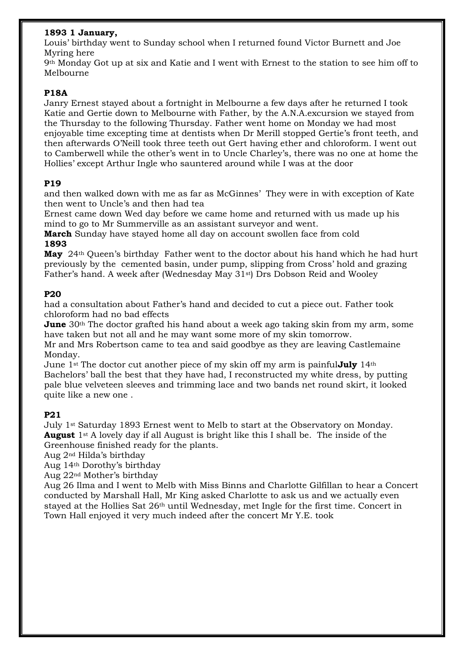# **1893 1 January,**

Louis' birthday went to Sunday school when I returned found Victor Burnett and Joe Myring here

9th Monday Got up at six and Katie and I went with Ernest to the station to see him off to Melbourne

# **P18A**

Janry Ernest stayed about a fortnight in Melbourne a few days after he returned I took Katie and Gertie down to Melbourne with Father, by the A.N.A.excursion we stayed from the Thursday to the following Thursday. Father went home on Monday we had most enjoyable time excepting time at dentists when Dr Merill stopped Gertie's front teeth, and then afterwards O'Neill took three teeth out Gert having ether and chloroform. I went out to Camberwell while the other's went in to Uncle Charley's, there was no one at home the Hollies' except Arthur Ingle who sauntered around while I was at the door

# **P19**

and then walked down with me as far as McGinnes' They were in with exception of Kate then went to Uncle's and then had tea

Ernest came down Wed day before we came home and returned with us made up his mind to go to Mr Summerville as an assistant surveyor and went.

**March** Sunday have stayed home all day on account swollen face from cold **1893**

**May** 24th Queen's birthday Father went to the doctor about his hand which he had hurt previously by the cemented basin, under pump, slipping from Cross' hold and grazing Father's hand. A week after (Wednesday May 31st) Drs Dobson Reid and Wooley

# **P20**

had a consultation about Father's hand and decided to cut a piece out. Father took chloroform had no bad effects

**June** 30<sup>th</sup> The doctor grafted his hand about a week ago taking skin from my arm, some have taken but not all and he may want some more of my skin tomorrow.

Mr and Mrs Robertson came to tea and said goodbye as they are leaving Castlemaine Monday.

June 1st The doctor cut another piece of my skin off my arm is painful**July** 14th Bachelors' ball the best that they have had, I reconstructed my white dress, by putting pale blue velveteen sleeves and trimming lace and two bands net round skirt, it looked quite like a new one .

# **P21**

July 1st Saturday 1893 Ernest went to Melb to start at the Observatory on Monday. **August** 1st A lovely day if all August is bright like this I shall be. The inside of the Greenhouse finished ready for the plants.

Aug 2nd Hilda's birthday

Aug 14th Dorothy's birthday

Aug 22nd Mother's birthday

Aug 26 Ilma and I went to Melb with Miss Binns and Charlotte Gilfillan to hear a Concert conducted by Marshall Hall, Mr King asked Charlotte to ask us and we actually even stayed at the Hollies Sat 26th until Wednesday, met Ingle for the first time. Concert in Town Hall enjoyed it very much indeed after the concert Mr Y.E. took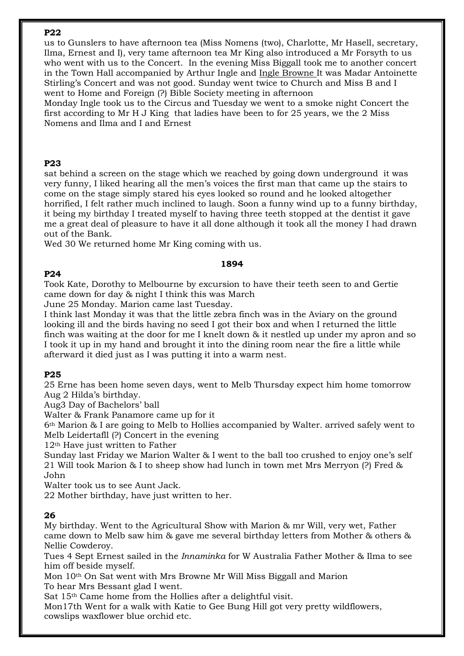us to Gunslers to have afternoon tea (Miss Nomens (two), Charlotte, Mr Hasell, secretary, Ilma, Ernest and I), very tame afternoon tea Mr King also introduced a Mr Forsyth to us who went with us to the Concert. In the evening Miss Biggall took me to another concert in the Town Hall accompanied by Arthur Ingle and Ingle Browne It was Madar Antoinette Stirling's Concert and was not good. Sunday went twice to Church and Miss B and I went to Home and Foreign (?) Bible Society meeting in afternoon

Monday Ingle took us to the Circus and Tuesday we went to a smoke night Concert the first according to Mr H J King that ladies have been to for 25 years, we the 2 Miss Nomens and Ilma and I and Ernest

#### **P23**

sat behind a screen on the stage which we reached by going down underground it was very funny, I liked hearing all the men's voices the first man that came up the stairs to come on the stage simply stared his eyes looked so round and he looked altogether horrified, I felt rather much inclined to laugh. Soon a funny wind up to a funny birthday, it being my birthday I treated myself to having three teeth stopped at the dentist it gave me a great deal of pleasure to have it all done although it took all the money I had drawn out of the Bank.

Wed 30 We returned home Mr King coming with us.

#### **1894**

#### **P24**

Took Kate, Dorothy to Melbourne by excursion to have their teeth seen to and Gertie came down for day & night I think this was March

June 25 Monday. Marion came last Tuesday.

I think last Monday it was that the little zebra finch was in the Aviary on the ground looking ill and the birds having no seed I got their box and when I returned the little finch was waiting at the door for me I knelt down & it nestled up under my apron and so I took it up in my hand and brought it into the dining room near the fire a little while afterward it died just as I was putting it into a warm nest.

#### **P25**

25 Erne has been home seven days, went to Melb Thursday expect him home tomorrow Aug 2 Hilda's birthday.

Aug3 Day of Bachelors' ball

Walter & Frank Panamore came up for it

6th Marion & I are going to Melb to Hollies accompanied by Walter. arrived safely went to Melb Leidertafll (?) Concert in the evening

12th Have just written to Father

Sunday last Friday we Marion Walter & I went to the ball too crushed to enjoy one's self 21 Will took Marion & I to sheep show had lunch in town met Mrs Merryon (?) Fred & John

Walter took us to see Aunt Jack.

22 Mother birthday, have just written to her.

# **26**

My birthday. Went to the Agricultural Show with Marion & mr Will, very wet, Father came down to Melb saw him & gave me several birthday letters from Mother & others & Nellie Cowderoy.

Tues 4 Sept Ernest sailed in the *Innaminka* for W Australia Father Mother & Ilma to see him off beside myself.

Mon 10th On Sat went with Mrs Browne Mr Will Miss Biggall and Marion To hear Mrs Bessant glad I went.

Sat 15th Came home from the Hollies after a delightful visit.

Mon17th Went for a walk with Katie to Gee Bung Hill got very pretty wildflowers, cowslips waxflower blue orchid etc.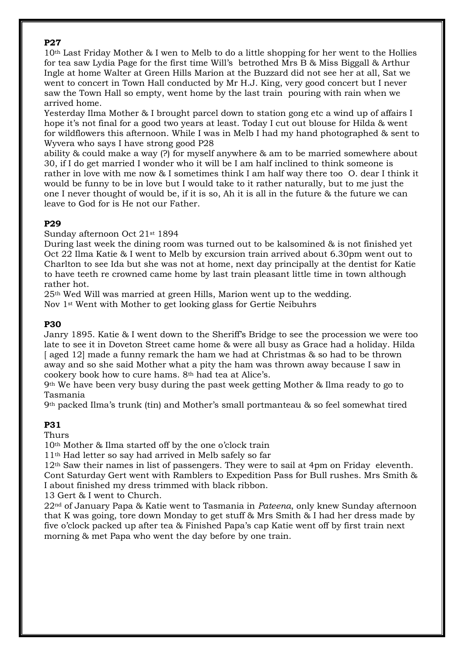10th Last Friday Mother & I wen to Melb to do a little shopping for her went to the Hollies for tea saw Lydia Page for the first time Will's betrothed Mrs B & Miss Biggall & Arthur Ingle at home Walter at Green Hills Marion at the Buzzard did not see her at all, Sat we went to concert in Town Hall conducted by Mr H.J. King, very good concert but I never saw the Town Hall so empty, went home by the last train pouring with rain when we arrived home.

Yesterday Ilma Mother & I brought parcel down to station gong etc a wind up of affairs I hope it's not final for a good two years at least. Today I cut out blouse for Hilda & went for wildflowers this afternoon. While I was in Melb I had my hand photographed & sent to Wyvera who says I have strong good P28

ability & could make a way (?) for myself anywhere & am to be married somewhere about 30, if I do get married I wonder who it will be I am half inclined to think someone is rather in love with me now & I sometimes think I am half way there too O. dear I think it would be funny to be in love but I would take to it rather naturally, but to me just the one I never thought of would be, if it is so, Ah it is all in the future & the future we can leave to God for is He not our Father.

# **P29**

Sunday afternoon Oct 21st 1894

During last week the dining room was turned out to be kalsomined & is not finished yet Oct 22 Ilma Katie & I went to Melb by excursion train arrived about 6.30pm went out to Charlton to see Ida but she was not at home, next day principally at the dentist for Katie to have teeth re crowned came home by last train pleasant little time in town although rather hot.

25th Wed Will was married at green Hills, Marion went up to the wedding.

Nov 1st Went with Mother to get looking glass for Gertie Neibuhrs

# **P30**

Janry 1895. Katie & I went down to the Sheriff's Bridge to see the procession we were too late to see it in Doveton Street came home & were all busy as Grace had a holiday. Hilda [ aged 12] made a funny remark the ham we had at Christmas & so had to be thrown away and so she said Mother what a pity the ham was thrown away because I saw in cookery book how to cure hams. 8th had tea at Alice's.

9th We have been very busy during the past week getting Mother & Ilma ready to go to Tasmania

9th packed Ilma's trunk (tin) and Mother's small portmanteau & so feel somewhat tired

# **P31**

Thurs

10th Mother & Ilma started off by the one o'clock train

11th Had letter so say had arrived in Melb safely so far

12th Saw their names in list of passengers. They were to sail at 4pm on Friday eleventh. Cont Saturday Gert went with Ramblers to Expedition Pass for Bull rushes. Mrs Smith & I about finished my dress trimmed with black ribbon.

13 Gert & I went to Church.

22nd of January Papa & Katie went to Tasmania in *Pateena*, only knew Sunday afternoon that K was going, tore down Monday to get stuff & Mrs Smith & I had her dress made by five o'clock packed up after tea & Finished Papa's cap Katie went off by first train next morning & met Papa who went the day before by one train.